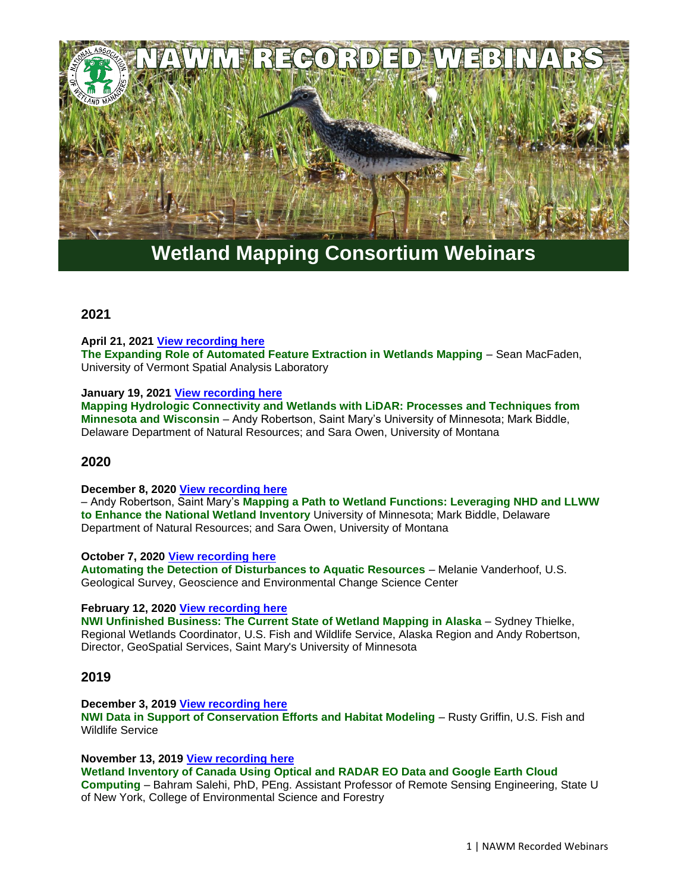

# **Wetland Mapping Consortium Webinars**

## **2021**

**April 21, 2021 [View recording here](https://nawm.org/science/wetlands-one-stop-mapping/385-2021-past-wetland-mapping-consortium-webinars#mapping0421)**

**The Expanding Role of Automated Feature Extraction in Wetlands Mapping** – Sean MacFaden, University of Vermont Spatial Analysis Laboratory

## **January 19, 2021 [View recording here](https://nawm.org/science/wetlands-one-stop-mapping/385-2021-past-wetland-mapping-consortium-webinars#wetlands011921)**

**Mapping Hydrologic Connectivity and Wetlands with LiDAR: Processes and Techniques from Minnesota and Wisconsin** – Andy Robertson, Saint Mary's University of Minnesota; Mark Biddle, Delaware Department of Natural Resources; and Sara Owen, University of Montana

## **2020**

## **December 8, 2020 [View recording here](https://nawm.org/science/wetlands-one-stop-mapping/105-2020-past-wmc-webinars#llww1208)**

– Andy Robertson, Saint Mary's **Mapping a Path to Wetland Functions: Leveraging NHD and LLWW to Enhance the National Wetland Inventory** University of Minnesota; Mark Biddle, Delaware Department of Natural Resources; and Sara Owen, University of Montana

## **October 7, 2020 [View recording here](https://nawm.org/science/wetlands-one-stop-mapping/105-2020-past-wmc-webinars#wmcaquatic1007)**

**Automating the Detection of Disturbances to Aquatic Resources** – Melanie Vanderhoof, U.S. Geological Survey, Geoscience and Environmental Change Science Center

## **February 12, 2020 [View recording here](https://nawm.org/science/wetlands-one-stop-mapping/105-2020-past-wmc-webinars#nwifeb)**

**NWI Unfinished Business: The Current State of Wetland Mapping in Alaska - Sydney Thielke,** Regional Wetlands Coordinator, U.S. Fish and Wildlife Service, Alaska Region and Andy Robertson, Director, GeoSpatial Services, Saint Mary's University of Minnesota

## **2019**

**December 3, 2019 [View recording here](https://nawm.org/science/wetlands-one-stop-mapping/5334-2019-past-wetland-mapping-consortium-webinars#mwc120319)**

**NWI Data in Support of Conservation Efforts and Habitat Modeling** – Rusty Griffin, U.S. Fish and Wildlife Service

**November 13, 2019 [View recording here](https://nawm.org/science/wetlands-one-stop-mapping/5334-2019-past-wetland-mapping-consortium-webinars#mapping111319) Wetland Inventory of Canada Using Optical and RADAR EO Data and Google Earth Cloud Computing** – Bahram Salehi, PhD, PEng. Assistant Professor of Remote Sensing Engineering, State U of New York, College of Environmental Science and Forestry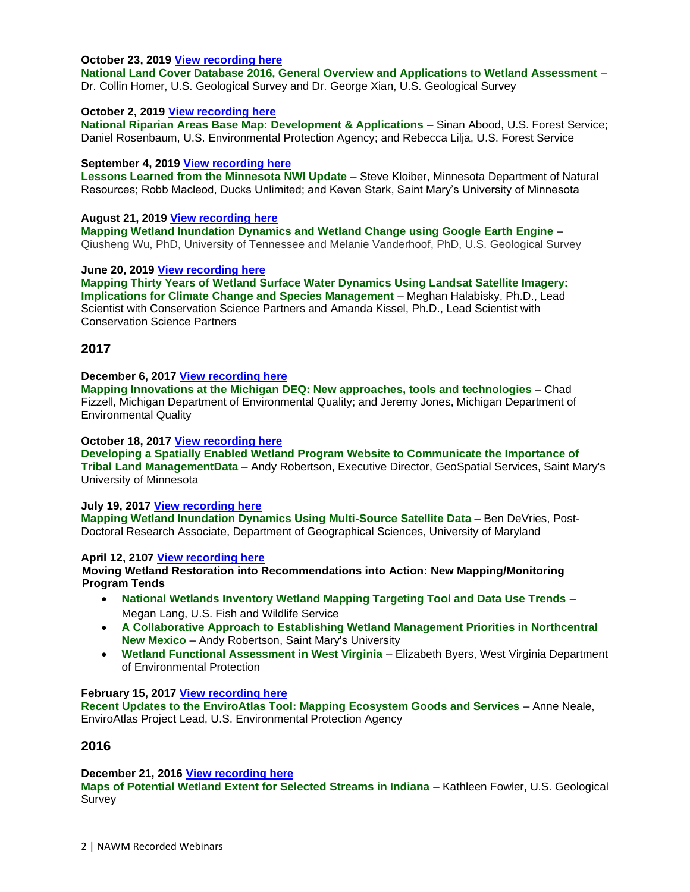## **October 23, 2019 [View recording here](https://nawm.org/science/wetlands-one-stop-mapping/5334-2019-past-wetland-mapping-consortium-webinars#map102319)**

**National Land Cover Database 2016, General Overview and Applications to Wetland Assessment** – Dr. Collin Homer, U.S. Geological Survey and Dr. George Xian, U.S. Geological Survey

## **October 2, 2019 [View recording here](https://nawm.org/science/wetlands-one-stop-mapping/5334-2019-past-wetland-mapping-consortium-webinars#map100219)**

**National Riparian Areas Base Map: Development & Applications** – Sinan Abood, U.S. Forest Service; Daniel Rosenbaum, U.S. Environmental Protection Agency; and Rebecca Lilja, U.S. Forest Service

## **September 4, 2019 [View recording here](https://nawm.org/science/wetlands-one-stop-mapping/5334-2019-past-wetland-mapping-consortium-webinars#mapping0904)**

Lessons Learned from the Minnesota NWI Update - Steve Kloiber, Minnesota Department of Natural Resources; Robb Macleod, Ducks Unlimited; and Keven Stark, Saint Mary's University of Minnesota

## **August 21, 2019 [View recording here](https://nawm.org/science/wetlands-one-stop-mapping/5334-2019-past-wetland-mapping-consortium-webinars#mapping081419)**

**Mapping Wetland Inundation Dynamics and Wetland Change using Google Earth Engine** – Qiusheng Wu, PhD, University of Tennessee and Melanie Vanderhoof, PhD, U.S. Geological Survey

## **June 20, 2019 [View recording here](https://nawm.org/science/wetlands-one-stop-mapping/5334-2019-past-wetland-mapping-consortium-webinars#mapping620)**

**Mapping Thirty Years of Wetland Surface Water Dynamics Using Landsat Satellite Imagery: Implications for Climate Change and Species Management** – Meghan Halabisky, Ph.D., Lead Scientist with Conservation Science Partners and Amanda Kissel, Ph.D., Lead Scientist with Conservation Science Partners

## **2017**

#### **December 6, 2017 [View recording here](https://nawm.org/science/wetlands-one-stop-mapping/9738-2017-wetland-mapping-consortium-recorded-webinars#decwebinar)**

**Mapping Innovations at the Michigan DEQ: New approaches, tools and technologies** – Chad Fizzell, Michigan Department of Environmental Quality; and Jeremy Jones, Michigan Department of Environmental Quality

## **October 18, 2017 [View recording here](https://nawm.org/science/wetlands-one-stop-mapping/9738-2017-wetland-mapping-consortium-recorded-webinars#webinaroctober)**

**Developing a Spatially Enabled Wetland Program Website to Communicate the Importance of Tribal Land ManagementData** – Andy Robertson, Executive Director, GeoSpatial Services, Saint Mary's University of Minnesota

## **July 19, 2017 [View recording here](https://nawm.org/science/wetlands-one-stop-mapping/9738-2017-wetland-mapping-consortium-recorded-webinars#webinarjuly)**

**Mapping Wetland Inundation Dynamics Using Multi-Source Satellite Data** – Ben DeVries, Post-Doctoral Research Associate, Department of Geographical Sciences, University of Maryland

## **April 12, 2107 [View recording here](https://nawm.org/science/wetlands-one-stop-mapping/9738-2017-wetland-mapping-consortium-recorded-webinars#webinar041217)**

**Moving Wetland Restoration into Recommendations into Action: New Mapping/Monitoring Program Tends** 

- **National Wetlands Inventory Wetland Mapping Targeting Tool and Data Use Trends**  Megan Lang, U.S. Fish and Wildlife Service
- **A Collaborative Approach to Establishing Wetland Management Priorities in Northcentral New Mexico** – Andy Robertson, Saint Mary's University
- **Wetland Functional Assessment in West Virginia** Elizabeth Byers, West Virginia Department of Environmental Protection

## **February 15, 2017 [View recording here](https://nawm.org/science/wetlands-one-stop-mapping/9738-2017-wetland-mapping-consortium-recorded-webinars#021517webinar)**

**Recent Updates to the EnviroAtlas Tool: Mapping Ecosystem Goods and Services** – Anne Neale, EnviroAtlas Project Lead, U.S. Environmental Protection Agency

## **2016**

## **December 21, 2016 [View recording here](https://nawm.org/science/wetlands-one-stop-mapping/9224-2016-wetland-mapping-consortium-recorded-webinars#122116webinar)**

**Maps of Potential Wetland Extent for Selected Streams in Indiana** – Kathleen Fowler, U.S. Geological Survey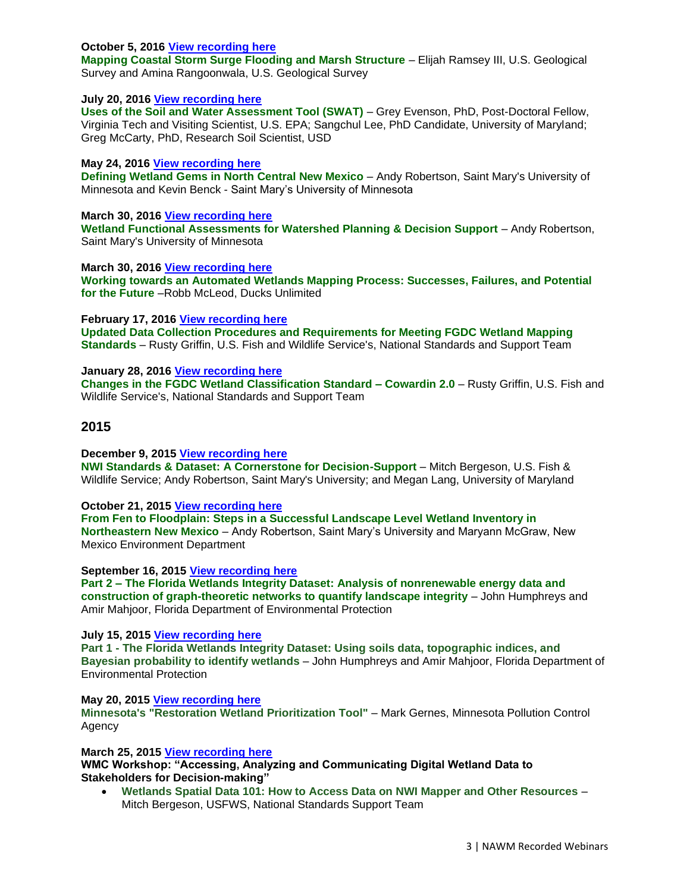## **October 5, 2016 [View recording here](https://nawm.org/science/wetlands-one-stop-mapping/9224-2016-wetland-mapping-consortium-recorded-webinars#100516webinar)**

**Mapping Coastal Storm Surge Flooding and Marsh Structure** – Elijah Ramsey III, U.S. Geological Survey and Amina Rangoonwala, U.S. Geological Survey

## **July 20, 2016 [View recording here](https://nawm.org/science/wetlands-one-stop-mapping/9224-2016-wetland-mapping-consortium-recorded-webinars#072016webinar)**

Uses of the Soil and Water Assessment Tool (SWAT) - Grey Evenson, PhD, Post-Doctoral Fellow, Virginia Tech and Visiting Scientist, U.S. EPA; Sangchul Lee, PhD Candidate, University of Maryland; Greg McCarty, PhD, Research Soil Scientist, USD

## **May 24, 2016 [View recording here](https://nawm.org/science/wetlands-one-stop-mapping/9224-2016-wetland-mapping-consortium-recorded-webinars#webinar052416)**

**Defining Wetland Gems in North Central New Mexico** – Andy Robertson, Saint Mary's University of Minnesota and Kevin Benck - Saint Mary's University of Minnesota

## **March 30, 2016 [View recording here](https://nawm.org/science/wetlands-one-stop-mapping/9224-2016-wetland-mapping-consortium-recorded-webinars#bergeson)**

**Wetland Functional Assessments for Watershed Planning & Decision Support - Andy Robertson,** Saint Mary's University of Minnesota

**March 30, 2016 [View recording here](https://nawm.org/science/wetlands-one-stop-mapping/9224-2016-wetland-mapping-consortium-recorded-webinars#mcleod)**

**Working towards an Automated Wetlands Mapping Process: Successes, Failures, and Potential for the Future** –Robb McLeod, Ducks Unlimited

**February 17, 2016 [View recording here](https://nawm.org/science/wetlands-one-stop-mapping/9224-2016-wetland-mapping-consortium-recorded-webinars#021716webinar)**

**Updated Data Collection Procedures and Requirements for Meeting FGDC Wetland Mapping Standards** – Rusty Griffin, U.S. Fish and Wildlife Service's, National Standards and Support Team

**January 28, 2016 [View recording here](https://nawm.org/science/wetlands-one-stop-mapping/9224-2016-wetland-mapping-consortium-recorded-webinars#012816webinar)**

**Changes in the FGDC Wetland Classification Standard – Cowardin 2.0** – Rusty Griffin, U.S. Fish and Wildlife Service's, National Standards and Support Team

## **2015**

**December 9, 2015 [View recording here](https://nawm.org/science/wetlands-one-stop-mapping/7634-2015-wetland-mapping-consortium-recorded-webinars#webinar120915)**

**NWI Standards & Dataset: A Cornerstone for Decision-Support – Mitch Bergeson, U.S. Fish &** Wildlife Service; Andy Robertson, Saint Mary's University; and Megan Lang, University of Maryland

**October 21, 2015 [View recording here](https://nawm.org/science/wetlands-one-stop-mapping/7634-2015-wetland-mapping-consortium-recorded-webinars#102115webinar)**

**From Fen to Floodplain: Steps in a Successful Landscape Level Wetland Inventory in Northeastern New Mexico** – Andy Robertson, Saint Mary's University and Maryann McGraw, New Mexico Environment Department

**September 16, 2015 [View recording here](https://nawm.org/science/wetlands-one-stop-mapping/7634-2015-wetland-mapping-consortium-recorded-webinars#sept16)**

**Part 2 – The Florida Wetlands Integrity Dataset: Analysis of nonrenewable energy data and construction of graph-theoretic networks to quantify landscape integrity** – John Humphreys and Amir Mahjoor, Florida Department of Environmental Protection

**July 15, 2015 [View recording here](https://nawm.org/science/wetlands-one-stop-mapping/7634-2015-wetland-mapping-consortium-recorded-webinars#071515)**

**Part 1 - The Florida Wetlands Integrity Dataset: Using soils data, topographic indices, and Bayesian probability to identify wetlands** – John Humphreys and Amir Mahjoor, Florida Department of Environmental Protection

**May 20, 2015 [View recording here](https://nawm.org/science/wetlands-one-stop-mapping/7634-2015-wetland-mapping-consortium-recorded-webinars#052015) Minnesota's "Restoration Wetland Prioritization Tool"** – Mark Gernes, Minnesota Pollution Control Agency

**March 25, 2015 [View recording here](https://nawm.org/science/wetlands-one-stop-mapping/7634-2015-wetland-mapping-consortium-recorded-webinars#march24)**

**WMC Workshop: "Accessing, Analyzing and Communicating Digital Wetland Data to Stakeholders for Decision-making"**

• **Wetlands Spatial Data 101: How to Access Data on NWI Mapper and Other Resources** – Mitch Bergeson, USFWS, National Standards Support Team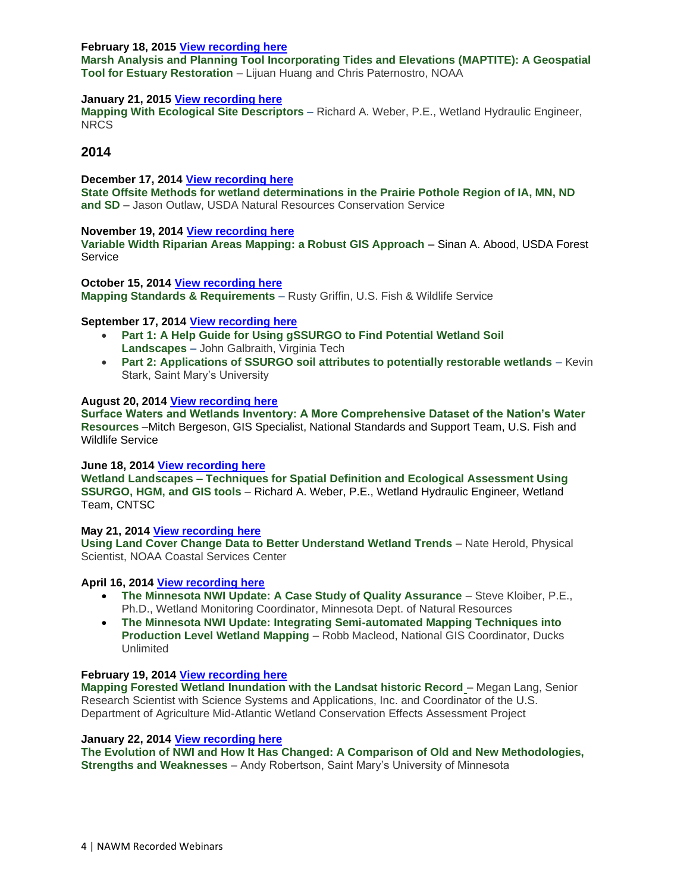## **February 18, 2015 [View recording here](https://nawm.org/science/wetlands-one-stop-mapping/7634-2015-wetland-mapping-consortium-recorded-webinars#021815)**

**Marsh Analysis and Planning Tool Incorporating Tides and Elevations (MAPTITE): A Geospatial Tool for Estuary Restoration** – Lijuan Huang and Chris Paternostro, NOAA

## **January 21, 2015 [View recording here](https://nawm.org/science/wetlands-one-stop-mapping/7634-2015-wetland-mapping-consortium-recorded-webinars#012115)**

**Mapping With Ecological Site Descriptors** – Richard A. Weber, P.E., Wetland Hydraulic Engineer, NRCS

## **2014**

**December 17, 2014 [View recording here](https://nawm.org/science/wetlands-one-stop-mapping/7068-2014-wetland-mapping-consortium-webinars#121714) State Offsite Methods for wetland determinations in the Prairie Pothole Region of IA, MN, ND and SD** – Jason Outlaw, USDA Natural Resources Conservation Service

#### **November 19, 2014 [View recording here](https://nawm.org/science/wetlands-one-stop-mapping/7068-2014-wetland-mapping-consortium-webinars#111914)**

**Variable Width Riparian Areas Mapping: a Robust GIS Approach** – Sinan A. Abood, USDA Forest Service

**October 15, 2014 [View recording here](https://nawm.org/science/wetlands-one-stop-mapping/7068-2014-wetland-mapping-consortium-webinars#griffinvideo) Mapping Standards & Requirements** – Rusty Griffin, U.S. Fish & Wildlife Service

#### **September 17, 2014 [View recording here](https://nawm.org/science/wetlands-one-stop-mapping/7068-2014-wetland-mapping-consortium-webinars#sept17)**

- **Part 1: A Help Guide for Using gSSURGO to Find Potential Wetland Soil Landscapes** – John Galbraith, Virginia Tech
- **Part 2: Applications of SSURGO soil attributes to potentially restorable wetlands** Kevin Stark, Saint Mary's University

## **August 20, 2014 [View recording here](https://nawm.org/science/wetlands-one-stop-mapping/7068-2014-wetland-mapping-consortium-webinars#bergeson)**

**Surface Waters and Wetlands Inventory: A More Comprehensive Dataset of the Nation's Water Resources** –Mitch Bergeson, GIS Specialist, National Standards and Support Team, U.S. Fish and Wildlife Service

## **June 18, 2014 [View recording here](https://nawm.org/science/wetlands-one-stop-mapping/7068-2014-wetland-mapping-consortium-webinars#061814)**

**Wetland Landscapes – Techniques for Spatial Definition and Ecological Assessment Using SSURGO, HGM, and GIS tools** – Richard A. Weber, P.E., Wetland Hydraulic Engineer, Wetland Team, CNTSC

**May 21, 2014 [View recording here](https://nawm.org/science/wetlands-one-stop-mapping/7068-2014-wetland-mapping-consortium-webinars#herold)**

**Using Land Cover Change Data to Better Understand Wetland Trends** – Nate Herold, Physical Scientist, NOAA Coastal Services Center

## **April 16, 2014 [View recording here](https://nawm.org/science/wetlands-one-stop-mapping/7068-2014-wetland-mapping-consortium-webinars#41614)**

- **The Minnesota NWI Update: A Case Study of Quality Assurance** Steve Kloiber, P.E., Ph.D., Wetland Monitoring Coordinator, Minnesota Dept. of Natural Resources
- **The Minnesota NWI Update: Integrating Semi-automated Mapping Techniques into Production Level Wetland Mapping** – Robb Macleod, National GIS Coordinator, Ducks Unlimited

#### **February 19, 2014 [View recording here](https://nawm.org/science/wetlands-one-stop-mapping/7068-2014-wetland-mapping-consortium-webinars#lang)**

**Mapping Forested Wetland Inundation with the Landsat historic Record** – Megan Lang, Senior Research Scientist with Science Systems and Applications, Inc. and Coordinator of the U.S. Department of Agriculture Mid-Atlantic Wetland Conservation Effects Assessment Project

#### **January 22, 2014 [View recording here](https://nawm.org/science/wetlands-one-stop-mapping/7068-2014-wetland-mapping-consortium-webinars#robertson)**

**The Evolution of NWI and How It Has Changed: A Comparison of Old and New Methodologies, Strengths and Weaknesses** – Andy Robertson, Saint Mary's University of Minnesota